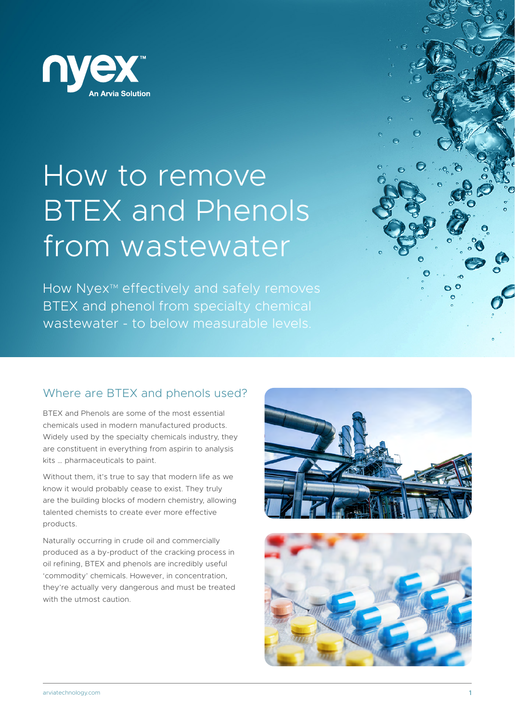

# How to remove BTEX and Phenols from wastewater

How Nyex<sup>™</sup> effectively and safely removes BTEX and phenol from specialty chemical wastewater - to below measurable levels.



# Where are BTEX and phenols used?

BTEX and Phenols are some of the most essential chemicals used in modern manufactured products. Widely used by the specialty chemicals industry, they are constituent in everything from aspirin to analysis kits … pharmaceuticals to paint.

Without them, it's true to say that modern life as we know it would probably cease to exist. They truly are the building blocks of modern chemistry, allowing talented chemists to create ever more effective products.

Naturally occurring in crude oil and commercially produced as a by-product of the cracking process in oil refining, BTEX and phenols are incredibly useful 'commodity' chemicals. However, in concentration, they're actually very dangerous and must be treated with the utmost caution.



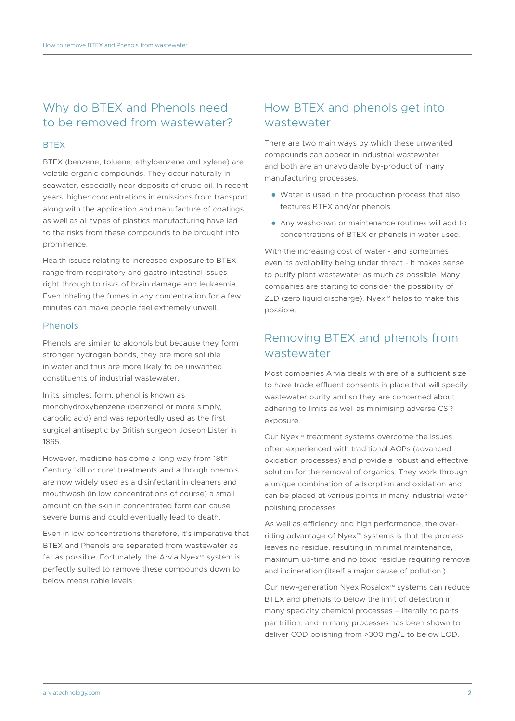# Why do BTEX and Phenols need to be removed from wastewater?

#### **BTFX**

BTEX (benzene, toluene, ethylbenzene and xylene) are volatile organic compounds. They occur naturally in seawater, especially near deposits of crude oil. In recent years, higher concentrations in emissions from transport, along with the application and manufacture of coatings as well as all types of plastics manufacturing have led to the risks from these compounds to be brought into prominence.

Health issues relating to increased exposure to BTEX range from respiratory and gastro-intestinal issues right through to risks of brain damage and leukaemia. Even inhaling the fumes in any concentration for a few minutes can make people feel extremely unwell.

#### Phenols

Phenols are similar to alcohols but because they form stronger hydrogen bonds, they are more soluble in water and thus are more likely to be unwanted constituents of industrial wastewater.

In its simplest form, phenol is known as monohydroxybenzene (benzenol or more simply, carbolic acid) and was reportedly used as the first surgical antiseptic by British surgeon Joseph Lister in 1865.

However, medicine has come a long way from 18th Century 'kill or cure' treatments and although phenols are now widely used as a disinfectant in cleaners and mouthwash (in low concentrations of course) a small amount on the skin in concentrated form can cause severe burns and could eventually lead to death.

Even in low concentrations therefore, it's imperative that BTEX and Phenols are separated from wastewater as far as possible. Fortunately, the Arvia Nyex<sup>™</sup> system is perfectly suited to remove these compounds down to below measurable levels.

## How BTEX and phenols get into wastewater

There are two main ways by which these unwanted compounds can appear in industrial wastewater and both are an unavoidable by-product of many manufacturing processes.

- Water is used in the production process that also features BTEX and/or phenols.
- Any washdown or maintenance routines will add to concentrations of BTEX or phenols in water used.

With the increasing cost of water - and sometimes even its availability being under threat - it makes sense to purify plant wastewater as much as possible. Many companies are starting to consider the possibility of  $ZLD$  (zero liquid discharge). Nyex<sup> $M$ </sup> helps to make this possible.

## Removing BTEX and phenols from wastewater

Most companies Arvia deals with are of a sufficient size to have trade effluent consents in place that will specify wastewater purity and so they are concerned about adhering to limits as well as minimising adverse CSR exposure.

Our Nyex<sup>™</sup> treatment systems overcome the issues often experienced with traditional AOPs (advanced oxidation processes) and provide a robust and effective solution for the removal of organics. They work through a unique combination of adsorption and oxidation and can be placed at various points in many industrial water polishing processes.

As well as efficiency and high performance, the overriding advantage of Nyex™ systems is that the process leaves no residue, resulting in minimal maintenance, maximum up-time and no toxic residue requiring removal and incineration (itself a major cause of pollution.)

Our new-generation Nyex Rosalox<sup>™</sup> systems can reduce BTEX and phenols to below the limit of detection in many specialty chemical processes – literally to parts per trillion, and in many processes has been shown to deliver COD polishing from >300 mg/L to below LOD.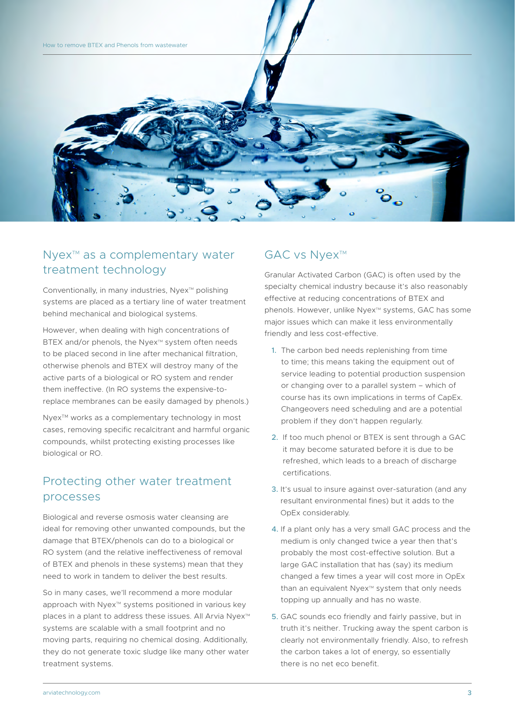

## Nyex<sup>™</sup> as a complementary water treatment technology

Conventionally, in many industries, Nyex™ polishing systems are placed as a tertiary line of water treatment behind mechanical and biological systems.

However, when dealing with high concentrations of BTEX and/or phenols, the Nyex<sup>™</sup> system often needs to be placed second in line after mechanical filtration, otherwise phenols and BTEX will destroy many of the active parts of a biological or RO system and render them ineffective. (In RO systems the expensive-toreplace membranes can be easily damaged by phenols.)

Nyex<sup>™</sup> works as a complementary technology in most cases, removing specific recalcitrant and harmful organic compounds, whilst protecting existing processes like biological or RO.

### Protecting other water treatment processes

Biological and reverse osmosis water cleansing are ideal for removing other unwanted compounds, but the damage that BTEX/phenols can do to a biological or RO system (and the relative ineffectiveness of removal of BTEX and phenols in these systems) mean that they need to work in tandem to deliver the best results.

So in many cases, we'll recommend a more modular approach with Nyex™ systems positioned in various key places in a plant to address these issues. All Arvia Nyex<sup>™</sup> systems are scalable with a small footprint and no moving parts, requiring no chemical dosing. Additionally, they do not generate toxic sludge like many other water treatment systems.

#### GAC vs Nyex™

Granular Activated Carbon (GAC) is often used by the specialty chemical industry because it's also reasonably effective at reducing concentrations of BTEX and phenols. However, unlike Nyex™ systems, GAC has some major issues which can make it less environmentally friendly and less cost-effective.

- 1. The carbon bed needs replenishing from time to time; this means taking the equipment out of service leading to potential production suspension or changing over to a parallel system – which of course has its own implications in terms of CapEx. Changeovers need scheduling and are a potential problem if they don't happen regularly.
- 2. If too much phenol or BTEX is sent through a GAC it may become saturated before it is due to be refreshed, which leads to a breach of discharge certifications.
- 3. It's usual to insure against over-saturation (and any resultant environmental fines) but it adds to the OpEx considerably.
- 4. If a plant only has a very small GAC process and the medium is only changed twice a year then that's probably the most cost-effective solution. But a large GAC installation that has (say) its medium changed a few times a year will cost more in OpEx than an equivalent  $Nyex^m$  system that only needs topping up annually and has no waste.
- 5. GAC sounds eco friendly and fairly passive, but in truth it's neither. Trucking away the spent carbon is clearly not environmentally friendly. Also, to refresh the carbon takes a lot of energy, so essentially there is no net eco benefit.